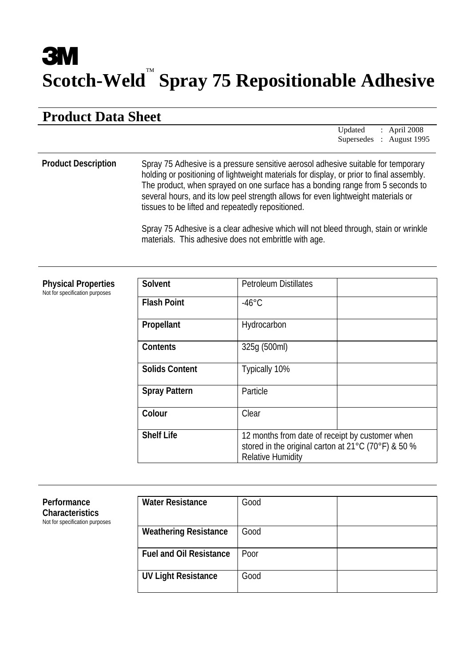# **3M Scotch-Weld** ™ **Spray 75 Repositionable Adhesive**

# **Product Data Sheet**

Updated : April 2008 Supersedes : August 1995

## **Product Description** Spray 75 Adhesive is a pressure sensitive aerosol adhesive suitable for temporary holding or positioning of lightweight materials for display, or prior to final assembly. The product, when sprayed on one surface has a bonding range from 5 seconds to several hours, and its low peel strength allows for even lightweight materials or tissues to be lifted and repeatedly repositioned.

Spray 75 Adhesive is a clear adhesive which will not bleed through, stain or wrinkle materials. This adhesive does not embrittle with age.

# **Physical Properties**

Not for specification purposes

| Solvent               | <b>Petroleum Distillates</b>                                                                                                       |  |
|-----------------------|------------------------------------------------------------------------------------------------------------------------------------|--|
| <b>Flash Point</b>    | $-46^{\circ}$ C                                                                                                                    |  |
| Propellant            | Hydrocarbon                                                                                                                        |  |
| <b>Contents</b>       | 325q (500ml)                                                                                                                       |  |
| <b>Solids Content</b> | Typically 10%                                                                                                                      |  |
| <b>Spray Pattern</b>  | Particle                                                                                                                           |  |
| Colour                | Clear                                                                                                                              |  |
| <b>Shelf Life</b>     | 12 months from date of receipt by customer when<br>stored in the original carton at 21°C (70°F) & 50 %<br><b>Relative Humidity</b> |  |

| Performance<br><b>Characteristics</b><br>Not for specification purposes | <b>Water Resistance</b>        | Good |  |
|-------------------------------------------------------------------------|--------------------------------|------|--|
|                                                                         | <b>Weathering Resistance</b>   | Good |  |
|                                                                         | <b>Fuel and Oil Resistance</b> | Poor |  |
|                                                                         | <b>UV Light Resistance</b>     | Good |  |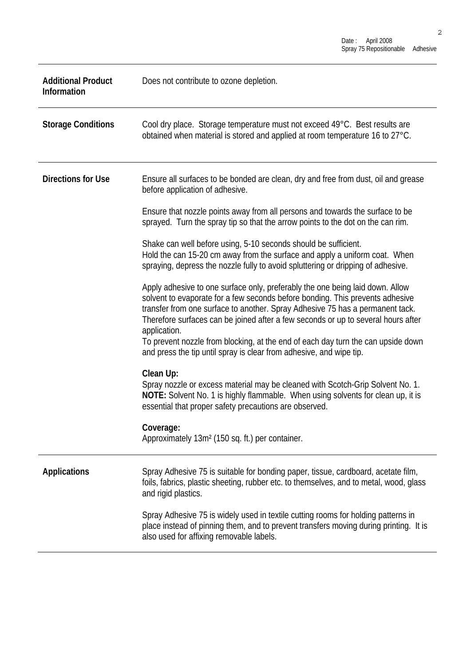| <b>Additional Product</b><br>Information | Does not contribute to ozone depletion.                                                                                                                                                                                                                                                                                                                                                                                                                                                                         |
|------------------------------------------|-----------------------------------------------------------------------------------------------------------------------------------------------------------------------------------------------------------------------------------------------------------------------------------------------------------------------------------------------------------------------------------------------------------------------------------------------------------------------------------------------------------------|
| <b>Storage Conditions</b>                | Cool dry place. Storage temperature must not exceed 49°C. Best results are<br>obtained when material is stored and applied at room temperature 16 to 27°C.                                                                                                                                                                                                                                                                                                                                                      |
| <b>Directions for Use</b>                | Ensure all surfaces to be bonded are clean, dry and free from dust, oil and grease<br>before application of adhesive.                                                                                                                                                                                                                                                                                                                                                                                           |
|                                          | Ensure that nozzle points away from all persons and towards the surface to be<br>sprayed. Turn the spray tip so that the arrow points to the dot on the can rim.                                                                                                                                                                                                                                                                                                                                                |
|                                          | Shake can well before using, 5-10 seconds should be sufficient.<br>Hold the can 15-20 cm away from the surface and apply a uniform coat. When<br>spraying, depress the nozzle fully to avoid spluttering or dripping of adhesive.                                                                                                                                                                                                                                                                               |
|                                          | Apply adhesive to one surface only, preferably the one being laid down. Allow<br>solvent to evaporate for a few seconds before bonding. This prevents adhesive<br>transfer from one surface to another. Spray Adhesive 75 has a permanent tack.<br>Therefore surfaces can be joined after a few seconds or up to several hours after<br>application.<br>To prevent nozzle from blocking, at the end of each day turn the can upside down<br>and press the tip until spray is clear from adhesive, and wipe tip. |
|                                          | Clean Up:<br>Spray nozzle or excess material may be cleaned with Scotch-Grip Solvent No. 1.<br>NOTE: Solvent No. 1 is highly flammable. When using solvents for clean up, it is<br>essential that proper safety precautions are observed.                                                                                                                                                                                                                                                                       |
|                                          | Coverage:<br>Approximately 13m <sup>2</sup> (150 sq. ft.) per container.                                                                                                                                                                                                                                                                                                                                                                                                                                        |
| <b>Applications</b>                      | Spray Adhesive 75 is suitable for bonding paper, tissue, cardboard, acetate film,<br>foils, fabrics, plastic sheeting, rubber etc. to themselves, and to metal, wood, glass<br>and rigid plastics.                                                                                                                                                                                                                                                                                                              |
|                                          | Spray Adhesive 75 is widely used in textile cutting rooms for holding patterns in<br>place instead of pinning them, and to prevent transfers moving during printing. It is<br>also used for affixing removable labels.                                                                                                                                                                                                                                                                                          |